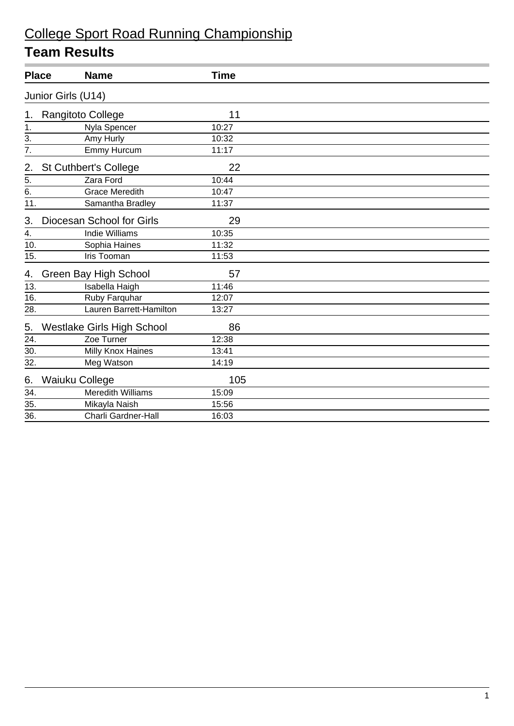| <b>Place</b>    | <b>Name</b>                  |                                   | <b>Time</b> |  |
|-----------------|------------------------------|-----------------------------------|-------------|--|
|                 | Junior Girls (U14)           |                                   |             |  |
| 1.              | Rangitoto College            |                                   | 11          |  |
| 1.              |                              | Nyla Spencer                      | 10:27       |  |
| 3.              | Amy Hurly                    |                                   | 10:32       |  |
| 7.              |                              | Emmy Hurcum                       | 11:17       |  |
| 2.              | <b>St Cuthbert's College</b> |                                   | 22          |  |
|                 | Zara Ford                    |                                   | 10:44       |  |
| $rac{5}{6}$     |                              | <b>Grace Meredith</b>             | 10:47       |  |
| 11.             |                              | Samantha Bradley                  | 11:37       |  |
| 3.              | Diocesan School for Girls    |                                   | 29          |  |
| 4.              |                              | <b>Indie Williams</b>             | 10:35       |  |
| 10.             |                              | Sophia Haines                     | 11:32       |  |
| 15.             |                              | Iris Tooman                       | 11:53       |  |
| 4.              | Green Bay High School        |                                   | 57          |  |
| 13.             |                              | Isabella Haigh                    | 11:46       |  |
| 16.             |                              | Ruby Farquhar                     | 12:07       |  |
| 28.             |                              | Lauren Barrett-Hamilton           | 13:27       |  |
| 5.              |                              | <b>Westlake Girls High School</b> | 86          |  |
| 24.             |                              | Zoe Turner                        | 12:38       |  |
| 30.             |                              | <b>Milly Knox Haines</b>          | 13:41       |  |
| 32.             |                              | Meg Watson                        | 14:19       |  |
| 6.              | Waiuku College               |                                   | 105         |  |
| 34.             |                              | <b>Meredith Williams</b>          | 15:09       |  |
| 35.             |                              | Mikayla Naish                     | 15:56       |  |
| $\overline{36}$ |                              | <b>Charli Gardner-Hall</b>        | 16:03       |  |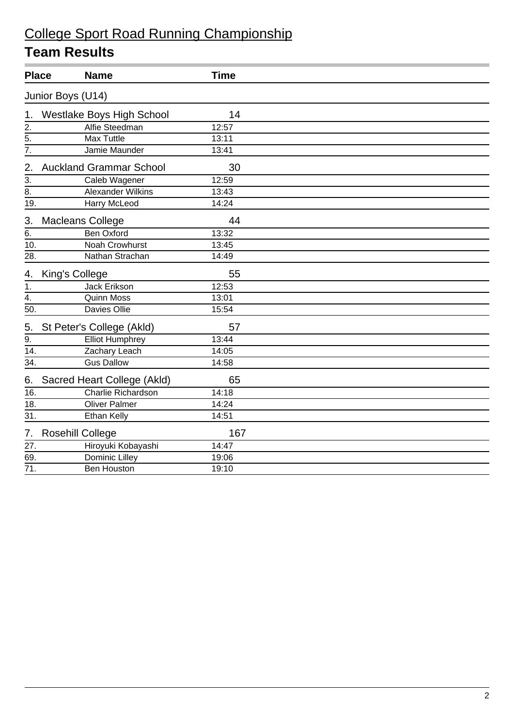| <b>Place</b>     |                         | <b>Name</b>                      | <b>Time</b> |
|------------------|-------------------------|----------------------------------|-------------|
|                  | Junior Boys (U14)       |                                  |             |
| 1.               |                         | <b>Westlake Boys High School</b> | 14          |
| 2.               |                         | Alfie Steedman                   | 12:57       |
| 5.               |                         | <b>Max Tuttle</b>                | 13:11       |
| $\frac{5}{7}$    |                         | Jamie Maunder                    | 13:41       |
| 2.               |                         | <b>Auckland Grammar School</b>   | 30          |
| 3.               |                         | Caleb Wagener                    | 12:59       |
| $\overline{8}$ . |                         | <b>Alexander Wilkins</b>         | 13:43       |
| 19.              |                         | <b>Harry McLeod</b>              | 14:24       |
| 3.               | <b>Macleans College</b> |                                  | 44          |
| 6.               |                         | <b>Ben Oxford</b>                | 13:32       |
| 10.              |                         | Noah Crowhurst                   | 13:45       |
| 28.              |                         | Nathan Strachan                  | 14:49       |
| 4.               | King's College          |                                  | 55          |
| $\mathbf{1}$ .   |                         | Jack Erikson                     | 12:53       |
| $\frac{1}{4}$    |                         | <b>Quinn Moss</b>                | 13:01       |
| 50.              |                         | Davies Ollie                     | 15:54       |
| 5.               |                         | St Peter's College (Akld)        | 57          |
| $\overline{9}$ . |                         | <b>Elliot Humphrey</b>           | 13:44       |
| 14.              |                         | Zachary Leach                    | 14:05       |
| 34.              |                         | <b>Gus Dallow</b>                | 14:58       |
| 6.               |                         | Sacred Heart College (Akld)      | 65          |
| 16.              |                         | <b>Charlie Richardson</b>        | 14:18       |
| 18.              |                         | <b>Oliver Palmer</b>             | 14:24       |
| 31.              |                         | <b>Ethan Kelly</b>               | 14:51       |
| 7.               | <b>Rosehill College</b> |                                  | 167         |
| 27.              |                         | Hiroyuki Kobayashi               | 14:47       |
| 69.              |                         | Dominic Lilley                   | 19:06       |
| 71.              |                         | <b>Ben Houston</b>               | 19:10       |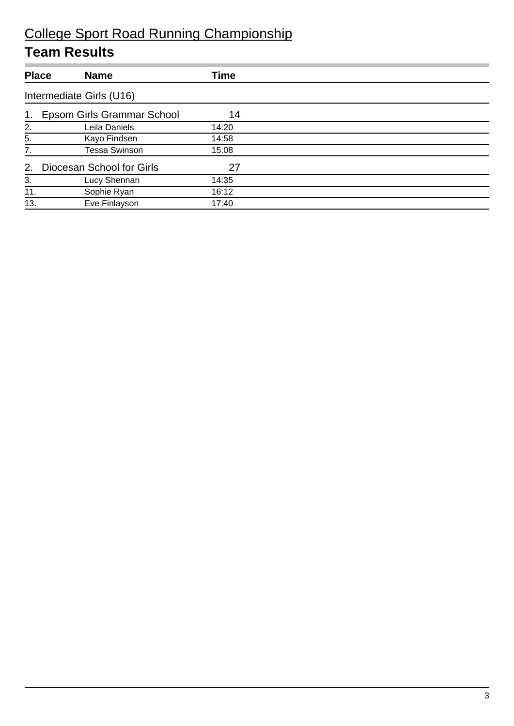|                | <b>Place</b><br><b>Name</b>  | Time  |  |
|----------------|------------------------------|-------|--|
|                | Intermediate Girls (U16)     |       |  |
| 1 <sub>1</sub> | Epsom Girls Grammar School   | 14    |  |
| 2.             | Leila Daniels                | 14:20 |  |
| 5.             | Kayo Findsen                 | 14:58 |  |
| 7.             | <b>Tessa Swinson</b>         | 15:08 |  |
|                | 2. Diocesan School for Girls | 27    |  |
| 3.             | Lucy Shennan                 | 14:35 |  |
| 11.            | Sophie Ryan                  | 16:12 |  |
| 13.            | Eve Finlayson                | 17:40 |  |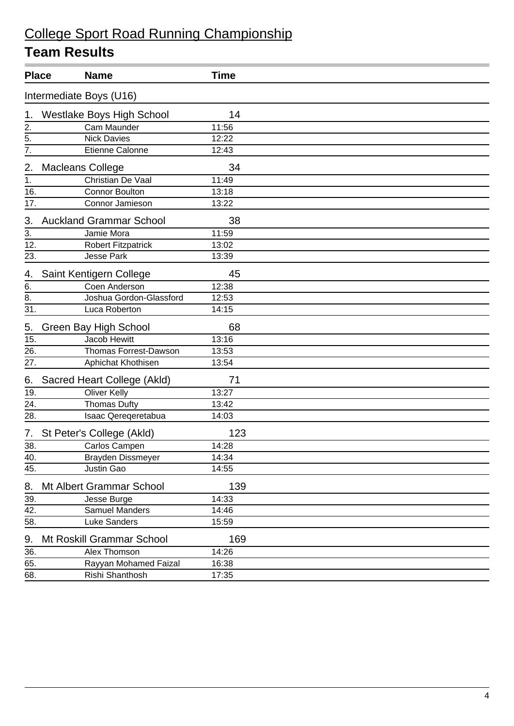|                   | <b>Place</b><br><b>Name</b>      | <b>Time</b> |  |  |  |
|-------------------|----------------------------------|-------------|--|--|--|
|                   | Intermediate Boys (U16)          |             |  |  |  |
| 1.                | <b>Westlake Boys High School</b> | 14          |  |  |  |
| 2.                | Cam Maunder                      | 11:56       |  |  |  |
| $rac{5}{7}$       | <b>Nick Davies</b>               | 12:22       |  |  |  |
|                   | Etienne Calonne                  | 12:43       |  |  |  |
| 2.                | Macleans College                 | 34          |  |  |  |
| 1.                | Christian De Vaal                | 11:49       |  |  |  |
| 16.               | <b>Connor Boulton</b>            | 13:18       |  |  |  |
| $\overline{17}$ . | Connor Jamieson                  | 13:22       |  |  |  |
| 3.                | <b>Auckland Grammar School</b>   | 38          |  |  |  |
| 3.                | Jamie Mora                       | 11:59       |  |  |  |
| 12.               | <b>Robert Fitzpatrick</b>        | 13:02       |  |  |  |
| 23.               | <b>Jesse Park</b>                | 13:39       |  |  |  |
| 4.                | Saint Kentigern College          | 45          |  |  |  |
| 6.                | Coen Anderson                    | 12:38       |  |  |  |
| 8.                | Joshua Gordon-Glassford          | 12:53       |  |  |  |
| $\overline{31}$ . | Luca Roberton                    | 14:15       |  |  |  |
| 5.                | Green Bay High School            | 68          |  |  |  |
| 15.               | Jacob Hewitt                     | 13:16       |  |  |  |
| 26.               | Thomas Forrest-Dawson            | 13:53       |  |  |  |
| 27.               | Aphichat Khothisen               | 13:54       |  |  |  |
| 6.                | Sacred Heart College (Akld)      | 71          |  |  |  |
| 19.               | <b>Oliver Kelly</b>              | 13:27       |  |  |  |
| 24.               | <b>Thomas Dufty</b>              | 13:42       |  |  |  |
| 28.               | Isaac Qereqeretabua              | 14:03       |  |  |  |
| 7.                | St Peter's College (Akld)        | 123         |  |  |  |
| 38.               | Carlos Campen                    | 14:28       |  |  |  |
| 40.               | Brayden Dissmeyer                | 14:34       |  |  |  |
| 45.               | Justin Gao                       | 14:55       |  |  |  |
| 8.                | Mt Albert Grammar School         | 139         |  |  |  |
| 39.               | Jesse Burge                      | 14:33       |  |  |  |
| 42.               | Samuel Manders                   | 14:46       |  |  |  |
| 58.               | Luke Sanders                     | 15:59       |  |  |  |
| 9.                | Mt Roskill Grammar School        | 169         |  |  |  |
| 36.               | Alex Thomson                     | 14:26       |  |  |  |
| 65.               | Rayyan Mohamed Faizal            | 16:38       |  |  |  |
| 68.               | Rishi Shanthosh                  | 17:35       |  |  |  |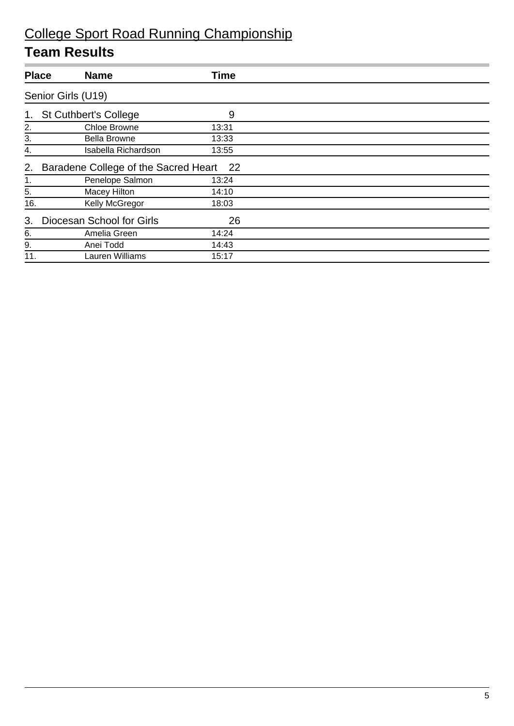| <b>Place</b>   | <b>Name</b>                          | Time  |  |  |  |
|----------------|--------------------------------------|-------|--|--|--|
|                | Senior Girls (U19)                   |       |  |  |  |
| 1 <sub>1</sub> | <b>St Cuthbert's College</b>         | 9     |  |  |  |
| 2.             | Chloe Browne                         | 13:31 |  |  |  |
| 3.             | <b>Bella Browne</b>                  | 13:33 |  |  |  |
| 4.             | Isabella Richardson                  | 13:55 |  |  |  |
| 2.             | Baradene College of the Sacred Heart | 22    |  |  |  |
| 1.             | Penelope Salmon                      | 13:24 |  |  |  |
| 5.             | Macey Hilton                         | 14:10 |  |  |  |
| 16.            | Kelly McGregor                       | 18:03 |  |  |  |
| 3.             | Diocesan School for Girls            | 26    |  |  |  |
| 6.             | Amelia Green                         | 14:24 |  |  |  |
| 9.             | Anei Todd                            | 14:43 |  |  |  |
| 11.            | Lauren Williams                      | 15:17 |  |  |  |